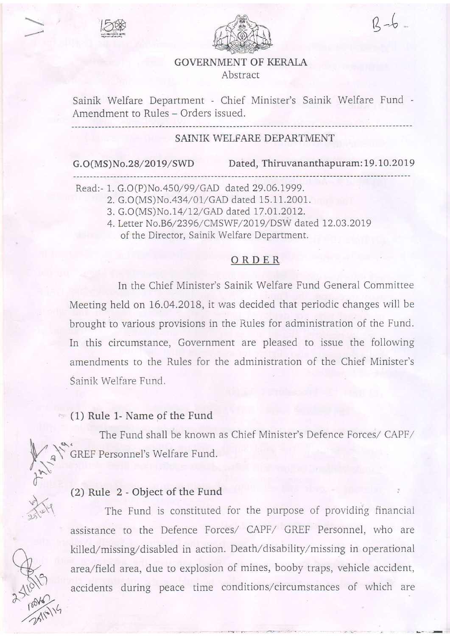



 $R - 6$ 

:

### GOVERNMENT OF KERALA Abstract

Sainik Welfare Department - Chief Minister's Sainik Welfare Fund -Amendment to Rules - Orders issued.

### SAINIK WELFARE DEPARTMENT

G.O(MS)No.28/2019/SWD Dated, Thiruvananthapuram: 19.10.2019

Read:- 1. G.O(P)No.450/99/GAD dated 29.06.1999.

2. G.O (MS)No .434/ OI/ GAD dated 15.1 1.2001.

3. G.O(MS)No.14/12/GAD dated 17.01.2012.

4. Letter No.B6/2396/CMSWF/2019/DSW dated 12.03.2019 of the Director. Sainik Welfare Department.

#### ORDER

In the Chief Minister's Sainik Welfare Fund General Committee Meeting held on 16.04.2018, it was decided that periodic changes will be brought to various provisions in the Rules for administration of the Fund. In this circumstance, Government are pleased to issue the following amendments to the Rules for the administration of the Chief Minister's Sainik Wellare Fund.

#### $\approx$  (1) Rule 1- Name of the Fund

 $\int$ 

 $\overline{C}$ 

.

n

 $R_{19}$ 

 $\frac{1}{2}$ 

v) (3

The Fund shall be known as Chief Minister's Defence Forces/ CAPF/  $\bigwedge_{\alpha} \bigwedge_{\beta} \bigwedge_{\beta} \bigwedge_{\beta}$ GREF Personnel's welfare Fund.

### $(2)$  Rule 2 - Object of the Fund

The Fund is constituted for the purpose of providing financial assistance to the Defence Forces/ CAPF/ GREF Personnel, who are killed/missing/disabled in action. Death/disability/missing in operational area/field area, due to explosion of mines, booby traps, vehicle accident, accidents during peace time conditions/circumstances of which are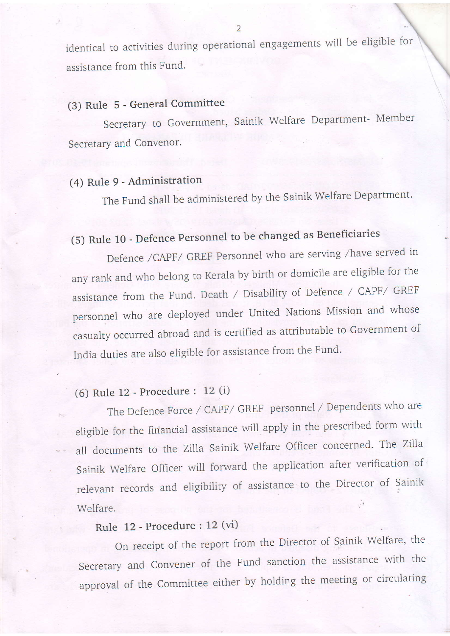identical to activities during operational engagements will be eligible for assistance from this Fund.

# (3) Rule 5 - General Committee

Secretary to Government, Sainik Welfare Department- Member Secretary and Convenor.

# (4) Rule 9 - Administration

The Fund shall be administered by the Sainik Welfare Department.

# (5) Rule 10 - Defence Personnel to be changed as Beneficiaries

Defence /CAPF/ GREF Personnel who are serving /have served in any rank and who belong to Kerala by birth or domicile are eligible for the assistance from the Fund. Death / Disability of Defence / CAPF/ GREF personnel who are deployed under United Nations Mission and whose casualty occurred abroad and is certified as attributable to Government of India duties are also eligible for assistance from the Fund.

# (6) Rule 12 - Procedure : 12 (i)

The Defence Force / CAPF/ GREF personnel / Dependents who are eligible for the financial assistance will apply in the prescribed form with all documents to the Zilla Sainik Welfare Officer concerned. The Zilla Sainik Welfare Officer will forward the application after verification of relevant records and eligibility of assistance to the Director of Sainik Welfare.

# Rule 12 - Procedure : 12 (vi)

On receipt of the report from the Director of Sainik Welfare, the Secretary and Convener of the Fund sanction the assistance with the approval of the Committee either by holding the meeting or circulating